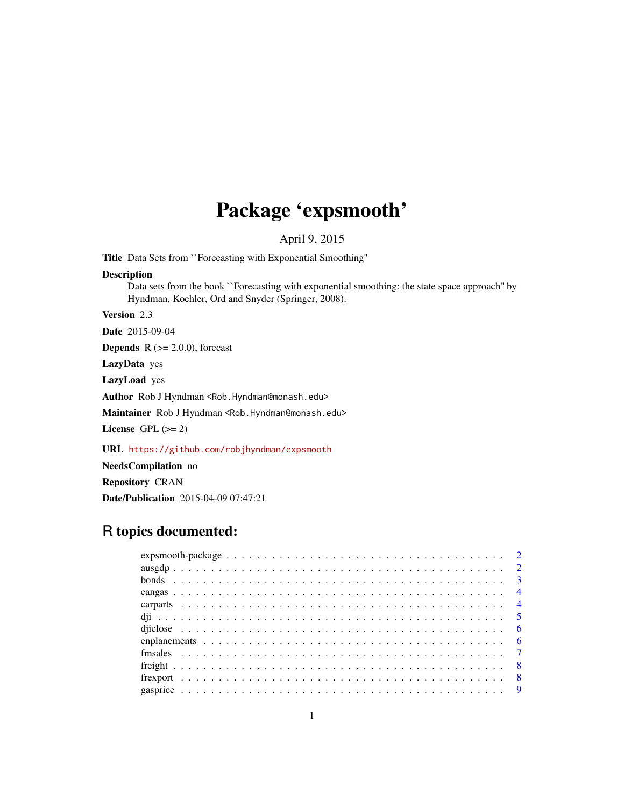# Package 'expsmooth'

April 9, 2015

Title Data Sets from ``Forecasting with Exponential Smoothing''

#### Description

Data sets from the book ``Forecasting with exponential smoothing: the state space approach'' by Hyndman, Koehler, Ord and Snyder (Springer, 2008).

Version 2.3

Date 2015-09-04

**Depends**  $R$  ( $>= 2.0.0$ ), forecast

LazyData yes

LazyLoad yes

Author Rob J Hyndman <Rob.Hyndman@monash.edu>

Maintainer Rob J Hyndman <Rob.Hyndman@monash.edu>

License GPL  $(>= 2)$ 

URL <https://github.com/robjhyndman/expsmooth>

NeedsCompilation no Repository CRAN Date/Publication 2015-04-09 07:47:21

## R topics documented: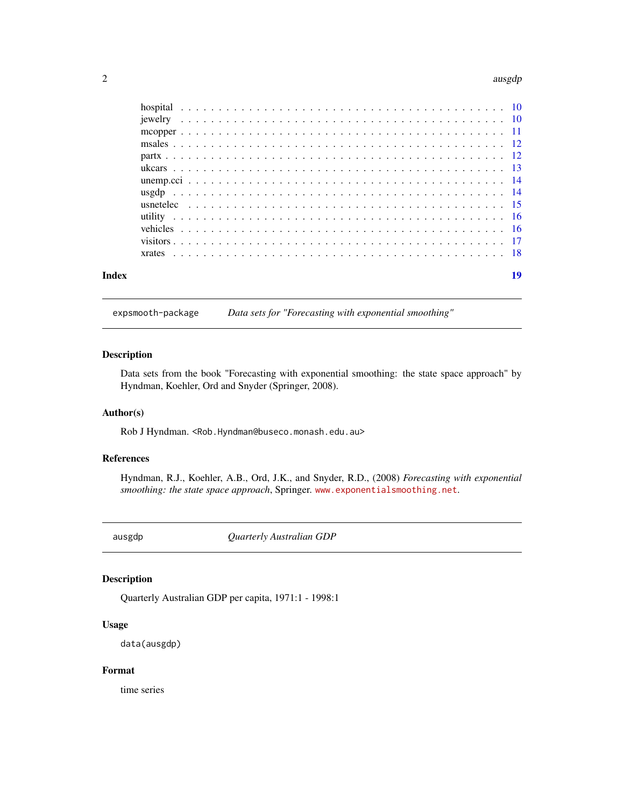#### <span id="page-1-0"></span> $2\,$  ausgdp  $\,$  ausgdp  $\,$  ausgdp  $\,$  ausgdp  $\,$  ausgdp  $\,$  ausgdp  $\,$  ausgdp  $\,$  ausgdp  $\,$  ausgdp  $\,$  ausgdp  $\,$  ausgdp  $\,$  ausgdp  $\,$  ausgdp  $\,$  ausgdp  $\,$  ausgdp  $\,$  ausgdp  $\,$  ausgdp  $\,$  ausgdp  $\,$

| Index |  |  |  |  |  |  |  |  |  |  |  |  |  |  |  |  |  |  |  |  |  | 19 |  |
|-------|--|--|--|--|--|--|--|--|--|--|--|--|--|--|--|--|--|--|--|--|--|----|--|

expsmooth-package *Data sets for "Forecasting with exponential smoothing"*

## Description

Data sets from the book "Forecasting with exponential smoothing: the state space approach" by Hyndman, Koehler, Ord and Snyder (Springer, 2008).

#### Author(s)

Rob J Hyndman. <Rob.Hyndman@buseco.monash.edu.au>

## References

Hyndman, R.J., Koehler, A.B., Ord, J.K., and Snyder, R.D., (2008) *Forecasting with exponential smoothing: the state space approach*, Springer. <www.exponentialsmoothing.net>.

ausgdp *Quarterly Australian GDP*

## Description

Quarterly Australian GDP per capita, 1971:1 - 1998:1

## Usage

data(ausgdp)

## Format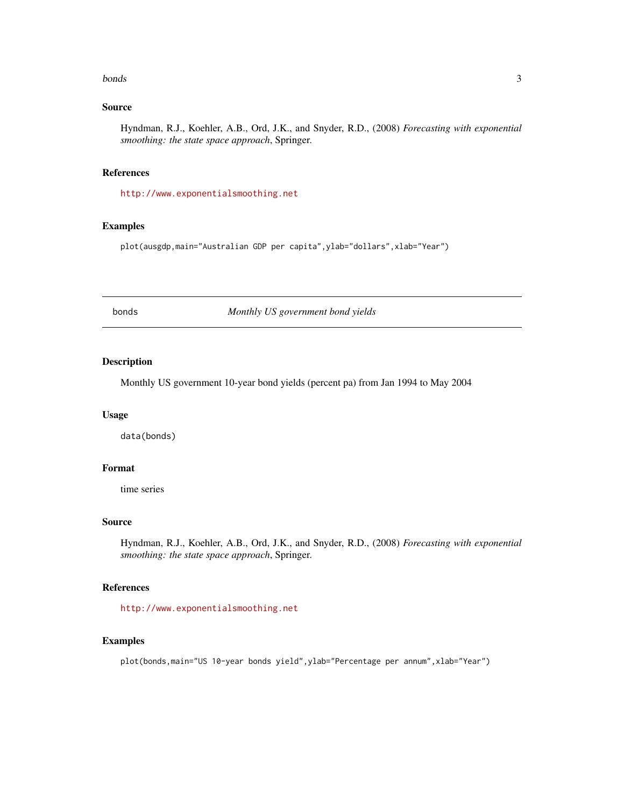#### <span id="page-2-0"></span>bonds 3

## Source

Hyndman, R.J., Koehler, A.B., Ord, J.K., and Snyder, R.D., (2008) *Forecasting with exponential smoothing: the state space approach*, Springer.

#### References

<http://www.exponentialsmoothing.net>

## Examples

plot(ausgdp,main="Australian GDP per capita",ylab="dollars",xlab="Year")

bonds *Monthly US government bond yields*

## Description

Monthly US government 10-year bond yields (percent pa) from Jan 1994 to May 2004

## Usage

data(bonds)

## Format

time series

## Source

Hyndman, R.J., Koehler, A.B., Ord, J.K., and Snyder, R.D., (2008) *Forecasting with exponential smoothing: the state space approach*, Springer.

## References

<http://www.exponentialsmoothing.net>

### Examples

plot(bonds,main="US 10-year bonds yield",ylab="Percentage per annum",xlab="Year")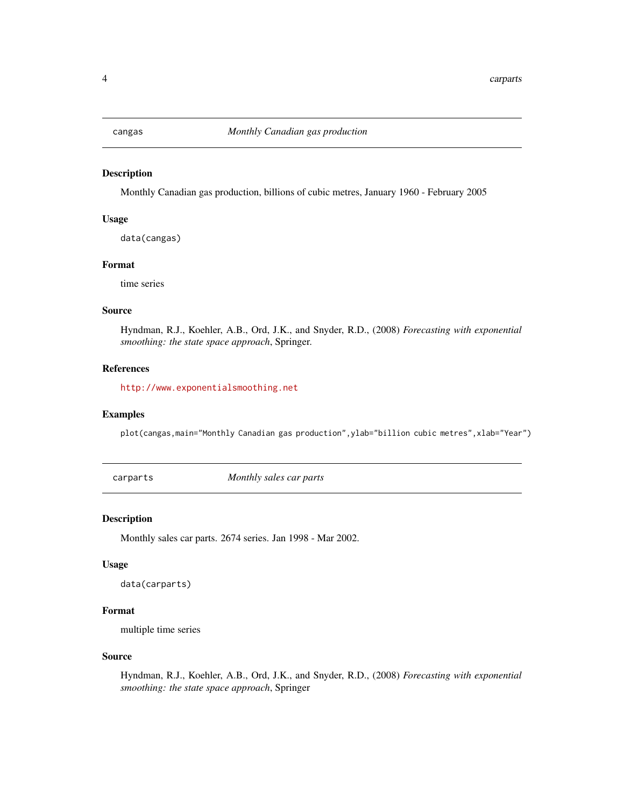<span id="page-3-0"></span>

Monthly Canadian gas production, billions of cubic metres, January 1960 - February 2005

## Usage

data(cangas)

## Format

time series

## Source

Hyndman, R.J., Koehler, A.B., Ord, J.K., and Snyder, R.D., (2008) *Forecasting with exponential smoothing: the state space approach*, Springer.

## References

<http://www.exponentialsmoothing.net>

## Examples

plot(cangas,main="Monthly Canadian gas production",ylab="billion cubic metres",xlab="Year")

carparts *Monthly sales car parts*

#### Description

Monthly sales car parts. 2674 series. Jan 1998 - Mar 2002.

#### Usage

```
data(carparts)
```
## Format

multiple time series

#### Source

Hyndman, R.J., Koehler, A.B., Ord, J.K., and Snyder, R.D., (2008) *Forecasting with exponential smoothing: the state space approach*, Springer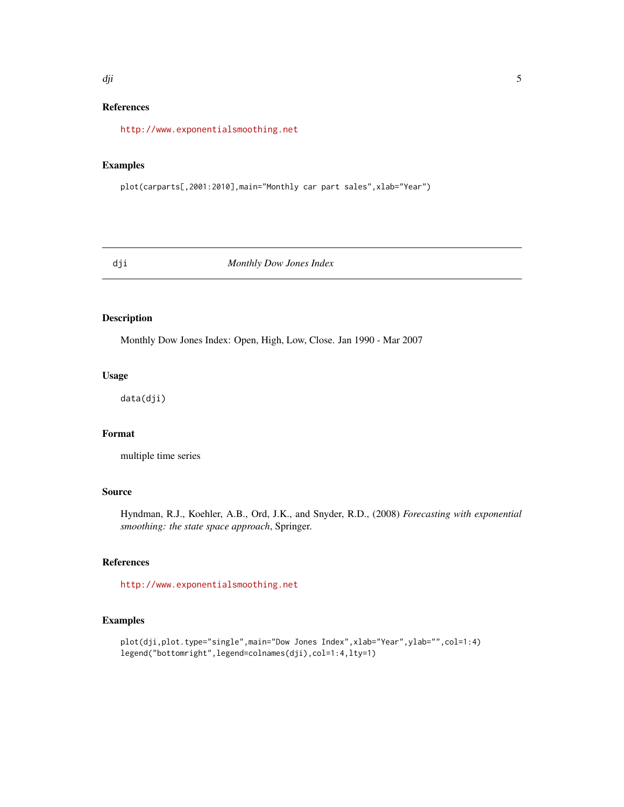#### <span id="page-4-0"></span>dji **5**

## References

<http://www.exponentialsmoothing.net>

#### Examples

plot(carparts[,2001:2010],main="Monthly car part sales",xlab="Year")

dji *Monthly Dow Jones Index*

## Description

Monthly Dow Jones Index: Open, High, Low, Close. Jan 1990 - Mar 2007

## Usage

data(dji)

## Format

multiple time series

#### Source

Hyndman, R.J., Koehler, A.B., Ord, J.K., and Snyder, R.D., (2008) *Forecasting with exponential smoothing: the state space approach*, Springer.

## References

<http://www.exponentialsmoothing.net>

## Examples

```
plot(dji,plot.type="single",main="Dow Jones Index",xlab="Year",ylab="",col=1:4)
legend("bottomright",legend=colnames(dji),col=1:4,lty=1)
```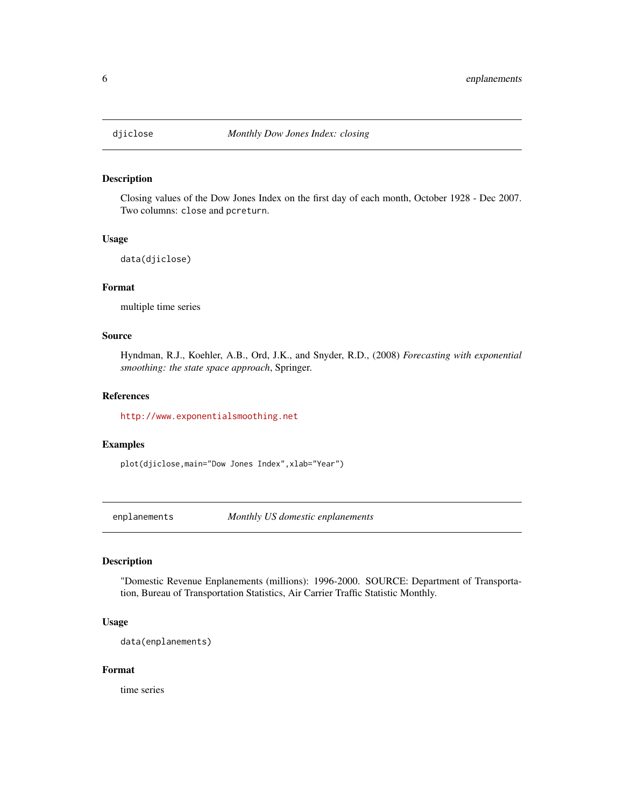<span id="page-5-0"></span>

Closing values of the Dow Jones Index on the first day of each month, October 1928 - Dec 2007. Two columns: close and pcreturn.

#### Usage

data(djiclose)

#### Format

multiple time series

#### Source

Hyndman, R.J., Koehler, A.B., Ord, J.K., and Snyder, R.D., (2008) *Forecasting with exponential smoothing: the state space approach*, Springer.

## References

<http://www.exponentialsmoothing.net>

## Examples

plot(djiclose,main="Dow Jones Index",xlab="Year")

enplanements *Monthly US domestic enplanements*

## Description

"Domestic Revenue Enplanements (millions): 1996-2000. SOURCE: Department of Transportation, Bureau of Transportation Statistics, Air Carrier Traffic Statistic Monthly.

## Usage

data(enplanements)

#### Format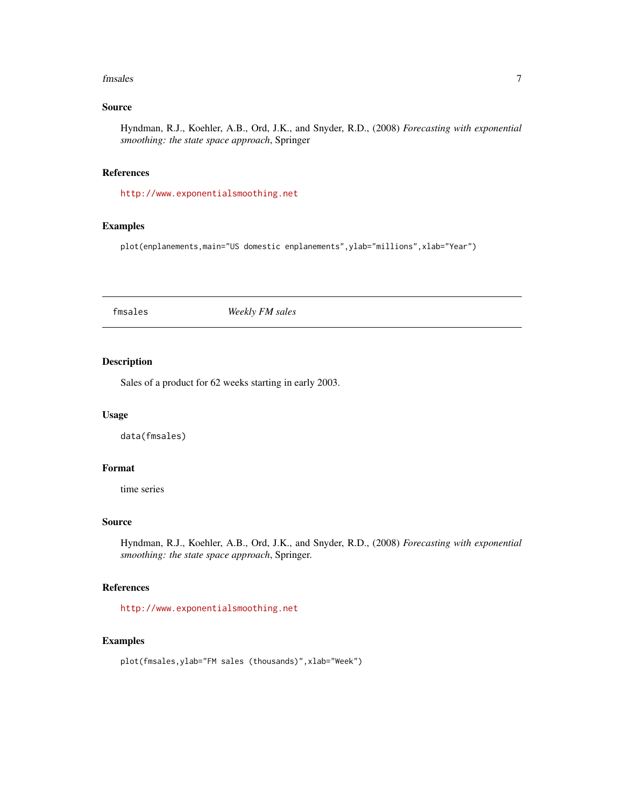#### <span id="page-6-0"></span>fmsales 7

## Source

Hyndman, R.J., Koehler, A.B., Ord, J.K., and Snyder, R.D., (2008) *Forecasting with exponential smoothing: the state space approach*, Springer

#### References

<http://www.exponentialsmoothing.net>

## Examples

plot(enplanements,main="US domestic enplanements",ylab="millions",xlab="Year")

fmsales *Weekly FM sales*

## Description

Sales of a product for 62 weeks starting in early 2003.

## Usage

data(fmsales)

## Format

time series

## Source

Hyndman, R.J., Koehler, A.B., Ord, J.K., and Snyder, R.D., (2008) *Forecasting with exponential smoothing: the state space approach*, Springer.

## References

<http://www.exponentialsmoothing.net>

### Examples

plot(fmsales,ylab="FM sales (thousands)",xlab="Week")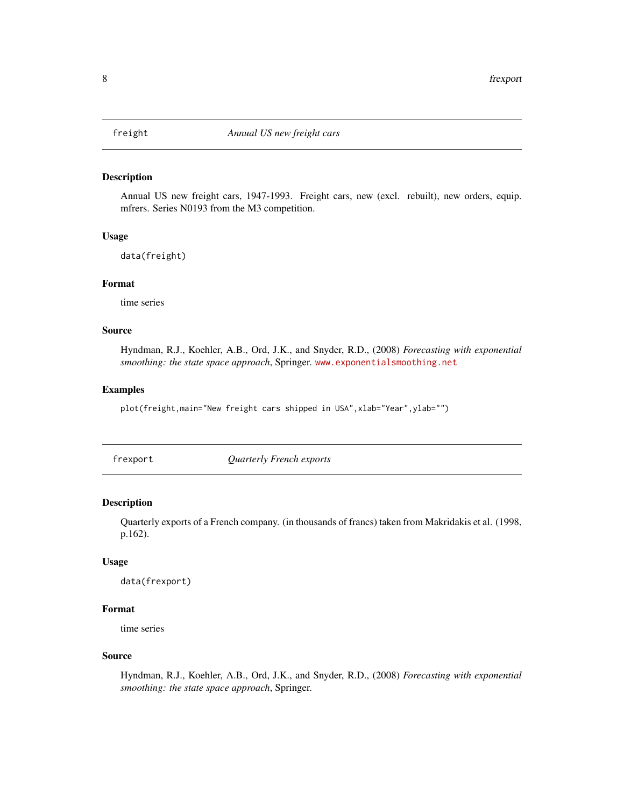<span id="page-7-0"></span>

Annual US new freight cars, 1947-1993. Freight cars, new (excl. rebuilt), new orders, equip. mfrers. Series N0193 from the M3 competition.

#### Usage

data(freight)

## Format

time series

## Source

Hyndman, R.J., Koehler, A.B., Ord, J.K., and Snyder, R.D., (2008) *Forecasting with exponential smoothing: the state space approach*, Springer. <www.exponentialsmoothing.net>

#### Examples

plot(freight,main="New freight cars shipped in USA",xlab="Year",ylab="")

frexport *Quarterly French exports*

#### Description

Quarterly exports of a French company. (in thousands of francs) taken from Makridakis et al. (1998, p.162).

#### Usage

```
data(frexport)
```
## Format

time series

## Source

Hyndman, R.J., Koehler, A.B., Ord, J.K., and Snyder, R.D., (2008) *Forecasting with exponential smoothing: the state space approach*, Springer.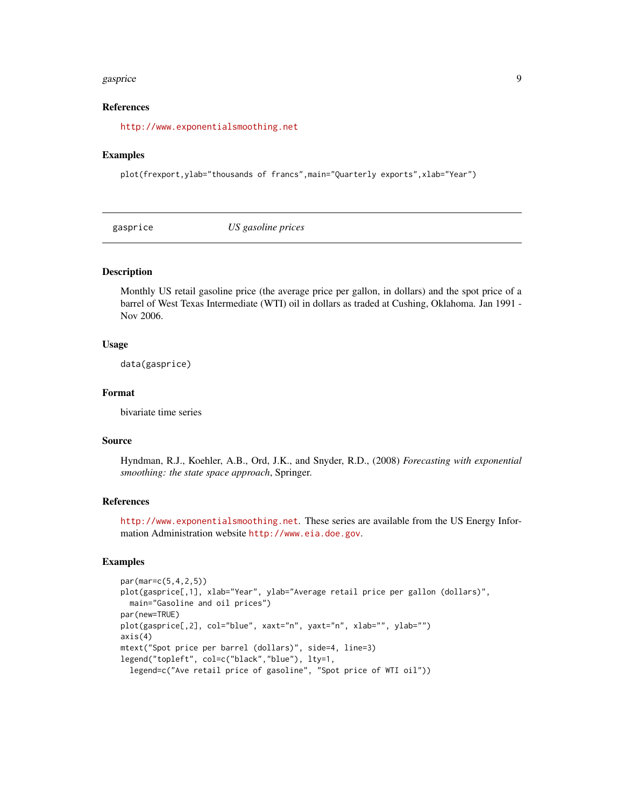#### <span id="page-8-0"></span>gasprice that the set of the set of the set of the set of the set of the set of the set of the set of the set of the set of the set of the set of the set of the set of the set of the set of the set of the set of the set of

## References

<http://www.exponentialsmoothing.net>

#### Examples

plot(frexport,ylab="thousands of francs",main="Quarterly exports",xlab="Year")

gasprice *US gasoline prices*

#### Description

Monthly US retail gasoline price (the average price per gallon, in dollars) and the spot price of a barrel of West Texas Intermediate (WTI) oil in dollars as traded at Cushing, Oklahoma. Jan 1991 - Nov 2006.

#### Usage

data(gasprice)

## Format

bivariate time series

#### Source

Hyndman, R.J., Koehler, A.B., Ord, J.K., and Snyder, R.D., (2008) *Forecasting with exponential smoothing: the state space approach*, Springer.

## References

<http://www.exponentialsmoothing.net>. These series are available from the US Energy Information Administration website <http://www.eia.doe.gov>.

#### Examples

```
par(mar=c(5,4,2,5))
plot(gasprice[,1], xlab="Year", ylab="Average retail price per gallon (dollars)",
  main="Gasoline and oil prices")
par(new=TRUE)
plot(gasprice[,2], col="blue", xaxt="n", yaxt="n", xlab="", ylab="")
axis(4)
mtext("Spot price per barrel (dollars)", side=4, line=3)
legend("topleft", col=c("black","blue"), lty=1,
  legend=c("Ave retail price of gasoline", "Spot price of WTI oil"))
```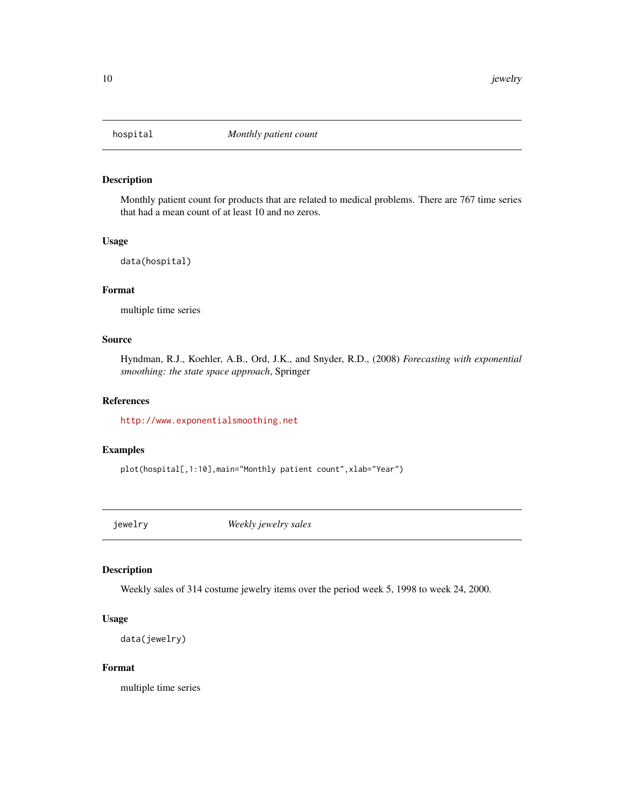<span id="page-9-0"></span>

Monthly patient count for products that are related to medical problems. There are 767 time series that had a mean count of at least 10 and no zeros.

## Usage

```
data(hospital)
```
#### Format

multiple time series

## Source

Hyndman, R.J., Koehler, A.B., Ord, J.K., and Snyder, R.D., (2008) *Forecasting with exponential smoothing: the state space approach*, Springer

### References

<http://www.exponentialsmoothing.net>

## Examples

plot(hospital[,1:10],main="Monthly patient count",xlab="Year")

jewelry *Weekly jewelry sales*

## Description

Weekly sales of 314 costume jewelry items over the period week 5, 1998 to week 24, 2000.

#### Usage

```
data(jewelry)
```
## Format

multiple time series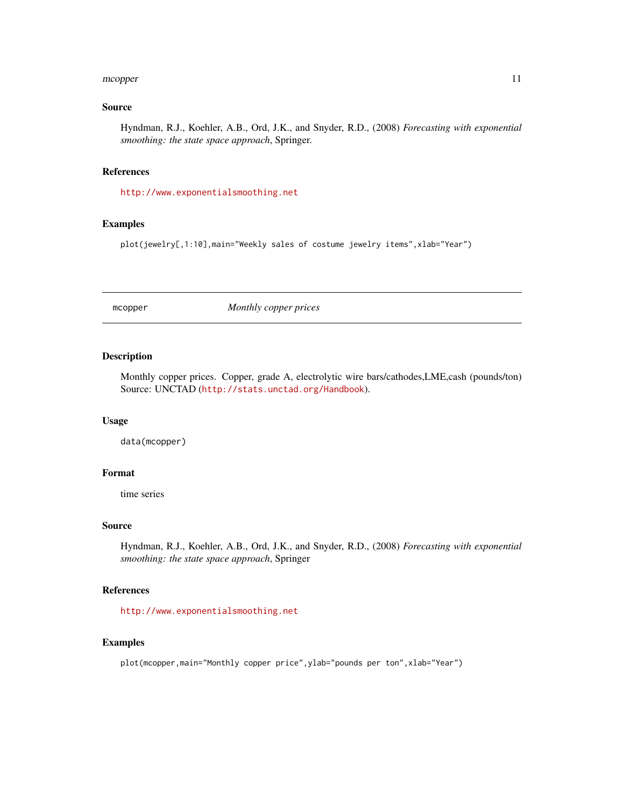#### <span id="page-10-0"></span>mcopper and the state of the state of the state of the state of the state of the state of the state of the state of the state of the state of the state of the state of the state of the state of the state of the state of th

#### Source

Hyndman, R.J., Koehler, A.B., Ord, J.K., and Snyder, R.D., (2008) *Forecasting with exponential smoothing: the state space approach*, Springer.

#### References

<http://www.exponentialsmoothing.net>

## Examples

plot(jewelry[,1:10],main="Weekly sales of costume jewelry items",xlab="Year")

mcopper *Monthly copper prices*

## Description

Monthly copper prices. Copper, grade A, electrolytic wire bars/cathodes,LME,cash (pounds/ton) Source: UNCTAD (<http://stats.unctad.org/Handbook>).

#### Usage

data(mcopper)

#### Format

time series

#### Source

Hyndman, R.J., Koehler, A.B., Ord, J.K., and Snyder, R.D., (2008) *Forecasting with exponential smoothing: the state space approach*, Springer

## References

<http://www.exponentialsmoothing.net>

#### Examples

plot(mcopper,main="Monthly copper price",ylab="pounds per ton",xlab="Year")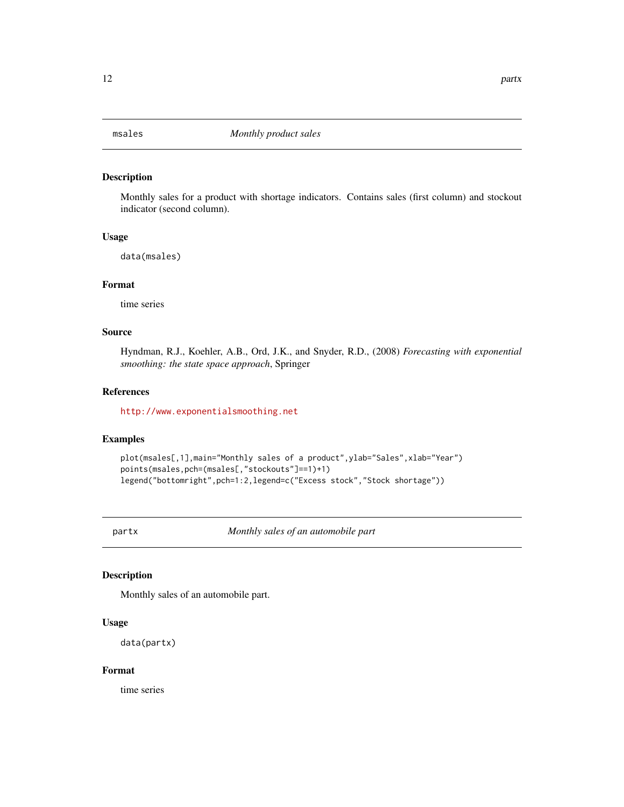<span id="page-11-0"></span>

Monthly sales for a product with shortage indicators. Contains sales (first column) and stockout indicator (second column).

#### Usage

data(msales)

## Format

time series

## Source

Hyndman, R.J., Koehler, A.B., Ord, J.K., and Snyder, R.D., (2008) *Forecasting with exponential smoothing: the state space approach*, Springer

## References

<http://www.exponentialsmoothing.net>

### Examples

```
plot(msales[,1],main="Monthly sales of a product",ylab="Sales",xlab="Year")
points(msales,pch=(msales[,"stockouts"]==1)+1)
legend("bottomright",pch=1:2,legend=c("Excess stock","Stock shortage"))
```
partx *Monthly sales of an automobile part*

## Description

Monthly sales of an automobile part.

## Usage

data(partx)

## Format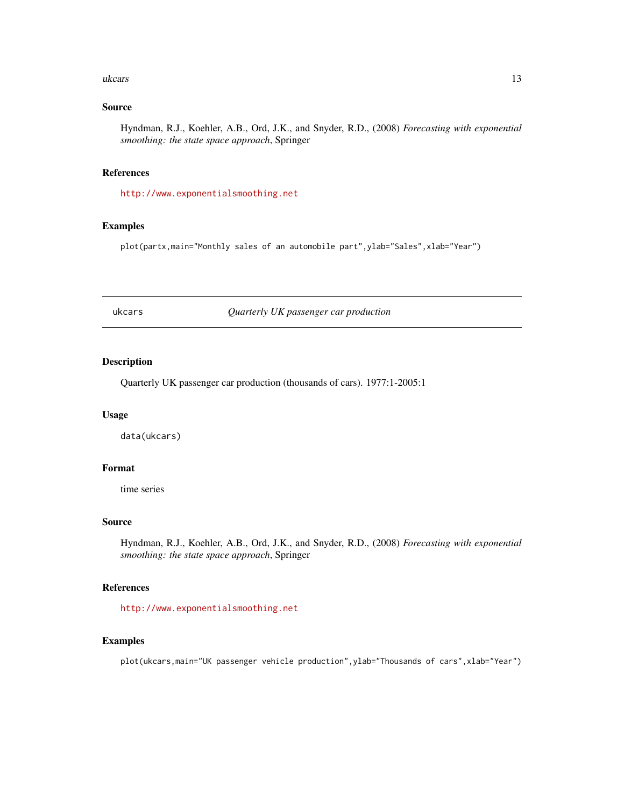#### <span id="page-12-0"></span>ukcars and the set of the set of the set of the set of the set of the set of the set of the set of the set of the set of the set of the set of the set of the set of the set of the set of the set of the set of the set of th

## Source

Hyndman, R.J., Koehler, A.B., Ord, J.K., and Snyder, R.D., (2008) *Forecasting with exponential smoothing: the state space approach*, Springer

#### References

<http://www.exponentialsmoothing.net>

## Examples

plot(partx,main="Monthly sales of an automobile part", ylab="Sales", xlab="Year")

ukcars *Quarterly UK passenger car production*

## Description

Quarterly UK passenger car production (thousands of cars). 1977:1-2005:1

## Usage

data(ukcars)

## Format

time series

## Source

Hyndman, R.J., Koehler, A.B., Ord, J.K., and Snyder, R.D., (2008) *Forecasting with exponential smoothing: the state space approach*, Springer

## References

<http://www.exponentialsmoothing.net>

### Examples

plot(ukcars,main="UK passenger vehicle production", ylab="Thousands of cars", xlab="Year")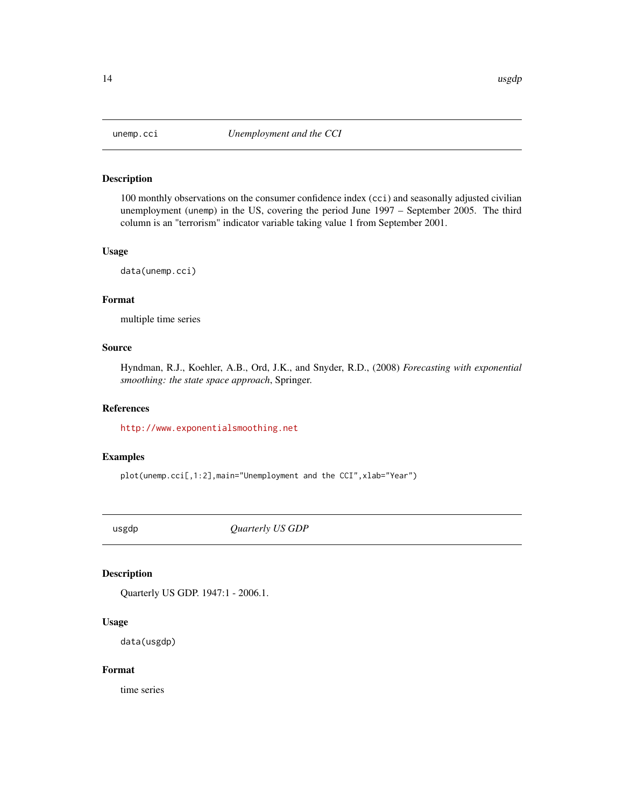<span id="page-13-0"></span>

100 monthly observations on the consumer confidence index (cci) and seasonally adjusted civilian unemployment (unemp) in the US, covering the period June 1997 – September 2005. The third column is an "terrorism" indicator variable taking value 1 from September 2001.

## Usage

data(unemp.cci)

## Format

multiple time series

## Source

Hyndman, R.J., Koehler, A.B., Ord, J.K., and Snyder, R.D., (2008) *Forecasting with exponential smoothing: the state space approach*, Springer.

## References

<http://www.exponentialsmoothing.net>

#### Examples

plot(unemp.cci[,1:2],main="Unemployment and the CCI",xlab="Year")

usgdp *Quarterly US GDP*

## Description

Quarterly US GDP. 1947:1 - 2006.1.

## Usage

data(usgdp)

#### Format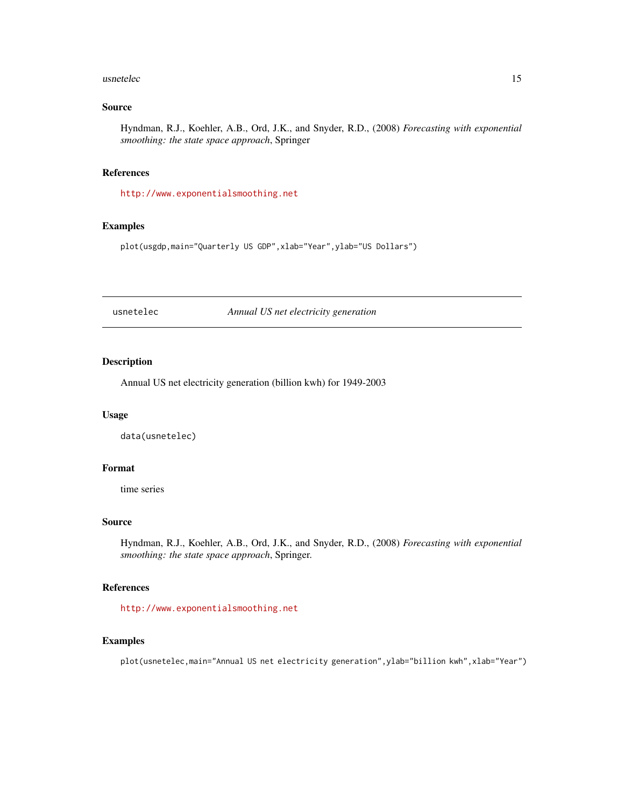#### <span id="page-14-0"></span>usnetelec 15

## Source

Hyndman, R.J., Koehler, A.B., Ord, J.K., and Snyder, R.D., (2008) *Forecasting with exponential smoothing: the state space approach*, Springer

#### References

<http://www.exponentialsmoothing.net>

## Examples

plot(usgdp,main="Quarterly US GDP",xlab="Year",ylab="US Dollars")

usnetelec *Annual US net electricity generation*

## Description

Annual US net electricity generation (billion kwh) for 1949-2003

## Usage

data(usnetelec)

## Format

time series

## Source

Hyndman, R.J., Koehler, A.B., Ord, J.K., and Snyder, R.D., (2008) *Forecasting with exponential smoothing: the state space approach*, Springer.

## References

<http://www.exponentialsmoothing.net>

### Examples

plot(usnetelec,main="Annual US net electricity generation", ylab="billion kwh", xlab="Year")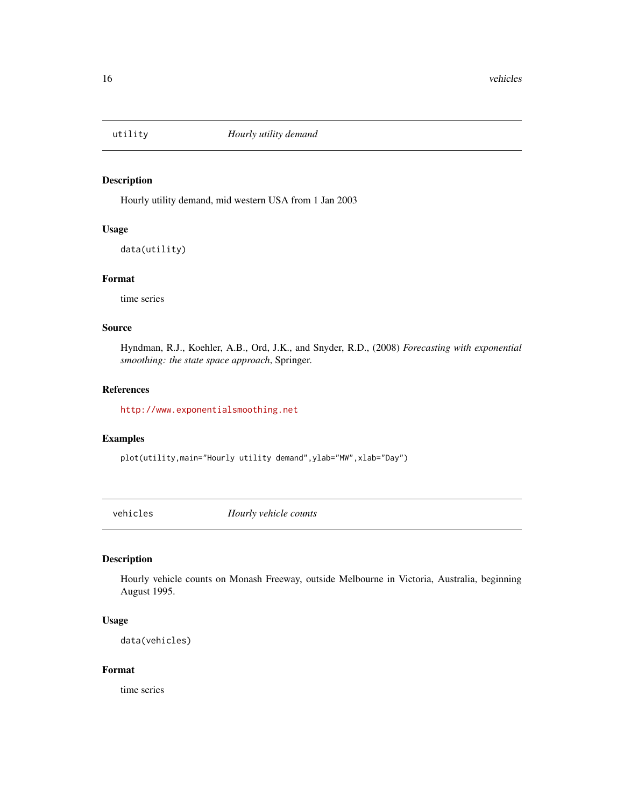<span id="page-15-0"></span>

Hourly utility demand, mid western USA from 1 Jan 2003

## Usage

data(utility)

## Format

time series

#### Source

Hyndman, R.J., Koehler, A.B., Ord, J.K., and Snyder, R.D., (2008) *Forecasting with exponential smoothing: the state space approach*, Springer.

#### References

<http://www.exponentialsmoothing.net>

### Examples

plot(utility,main="Hourly utility demand",ylab="MW",xlab="Day")

vehicles *Hourly vehicle counts*

#### Description

Hourly vehicle counts on Monash Freeway, outside Melbourne in Victoria, Australia, beginning August 1995.

#### Usage

data(vehicles)

## Format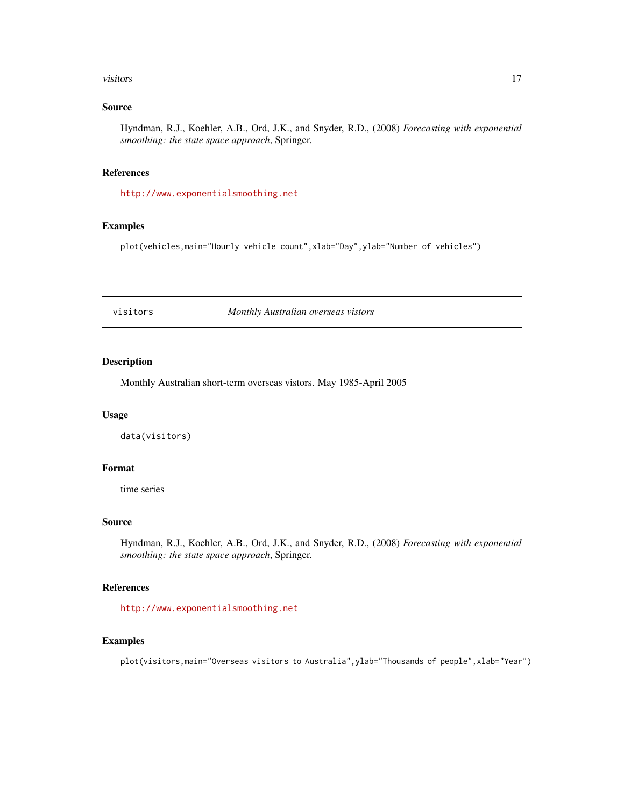#### <span id="page-16-0"></span>visitors and the contract of the contract of the contract of the contract of the contract of the contract of the contract of the contract of the contract of the contract of the contract of the contract of the contract of t

## Source

Hyndman, R.J., Koehler, A.B., Ord, J.K., and Snyder, R.D., (2008) *Forecasting with exponential smoothing: the state space approach*, Springer.

#### References

<http://www.exponentialsmoothing.net>

## Examples

plot(vehicles,main="Hourly vehicle count",xlab="Day",ylab="Number of vehicles")

visitors *Monthly Australian overseas vistors*

## Description

Monthly Australian short-term overseas vistors. May 1985-April 2005

## Usage

data(visitors)

## Format

time series

## Source

Hyndman, R.J., Koehler, A.B., Ord, J.K., and Snyder, R.D., (2008) *Forecasting with exponential smoothing: the state space approach*, Springer.

## References

<http://www.exponentialsmoothing.net>

### Examples

plot(visitors,main="Overseas visitors to Australia",ylab="Thousands of people",xlab="Year")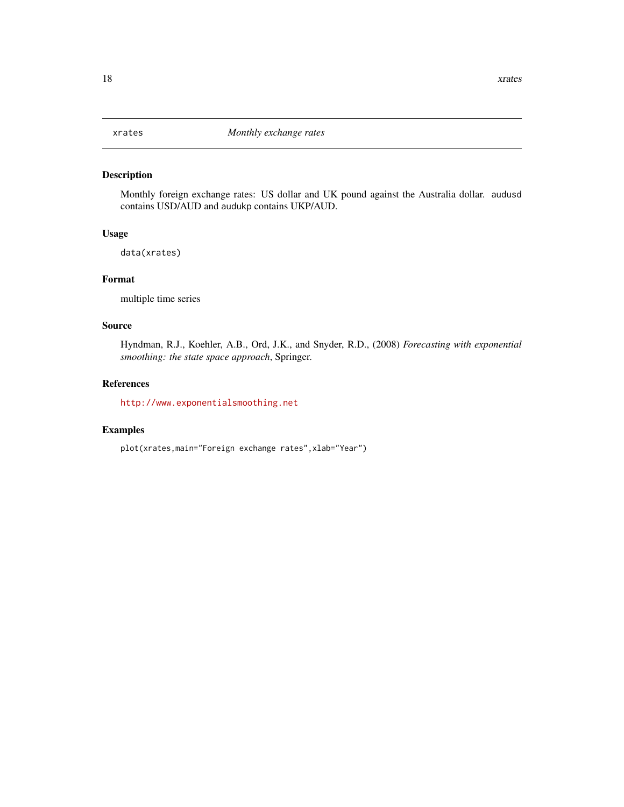<span id="page-17-0"></span>Monthly foreign exchange rates: US dollar and UK pound against the Australia dollar. audusd contains USD/AUD and audukp contains UKP/AUD.

#### Usage

data(xrates)

## Format

multiple time series

## Source

Hyndman, R.J., Koehler, A.B., Ord, J.K., and Snyder, R.D., (2008) *Forecasting with exponential smoothing: the state space approach*, Springer.

#### References

<http://www.exponentialsmoothing.net>

#### Examples

plot(xrates,main="Foreign exchange rates",xlab="Year")